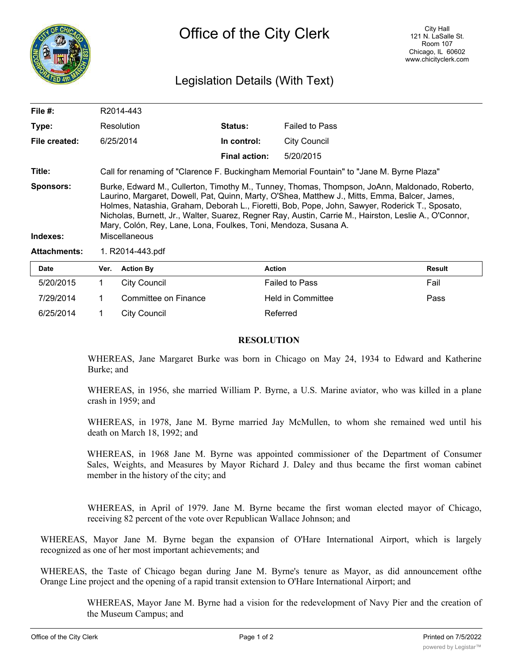

# Legislation Details (With Text)

| File #:                      | R2014-443                                                                                                                                                                                                                                                                                                                                                                                                                                                                                     |                      |                      |                       |               |
|------------------------------|-----------------------------------------------------------------------------------------------------------------------------------------------------------------------------------------------------------------------------------------------------------------------------------------------------------------------------------------------------------------------------------------------------------------------------------------------------------------------------------------------|----------------------|----------------------|-----------------------|---------------|
| Type:                        |                                                                                                                                                                                                                                                                                                                                                                                                                                                                                               | Resolution           | <b>Status:</b>       | <b>Failed to Pass</b> |               |
| File created:                | 6/25/2014                                                                                                                                                                                                                                                                                                                                                                                                                                                                                     |                      | In control:          | <b>City Council</b>   |               |
|                              |                                                                                                                                                                                                                                                                                                                                                                                                                                                                                               |                      | <b>Final action:</b> | 5/20/2015             |               |
| Title:                       | Call for renaming of "Clarence F. Buckingham Memorial Fountain" to "Jane M. Byrne Plaza"                                                                                                                                                                                                                                                                                                                                                                                                      |                      |                      |                       |               |
| <b>Sponsors:</b><br>Indexes: | Burke, Edward M., Cullerton, Timothy M., Tunney, Thomas, Thompson, JoAnn, Maldonado, Roberto,<br>Laurino, Margaret, Dowell, Pat, Quinn, Marty, O'Shea, Matthew J., Mitts, Emma, Balcer, James,<br>Holmes, Natashia, Graham, Deborah L., Fioretti, Bob, Pope, John, Sawyer, Roderick T., Sposato,<br>Nicholas, Burnett, Jr., Walter, Suarez, Regner Ray, Austin, Carrie M., Hairston, Leslie A., O'Connor,<br>Mary, Colón, Rey, Lane, Lona, Foulkes, Toni, Mendoza, Susana A.<br>Miscellaneous |                      |                      |                       |               |
| <b>Attachments:</b>          | 1. R2014-443.pdf                                                                                                                                                                                                                                                                                                                                                                                                                                                                              |                      |                      |                       |               |
| Date                         | Ver.                                                                                                                                                                                                                                                                                                                                                                                                                                                                                          | <b>Action By</b>     |                      | <b>Action</b>         | <b>Result</b> |
| 5/20/2015                    | 1                                                                                                                                                                                                                                                                                                                                                                                                                                                                                             | <b>City Council</b>  |                      | <b>Failed to Pass</b> | Fail          |
| 7/29/2014                    |                                                                                                                                                                                                                                                                                                                                                                                                                                                                                               | Committee on Finance |                      | Held in Committee     | Pass          |

## **RESOLUTION**

6/25/2014 1 City Council Referred

WHEREAS, Jane Margaret Burke was born in Chicago on May 24, 1934 to Edward and Katherine Burke; and

WHEREAS, in 1956, she married William P. Byrne, a U.S. Marine aviator, who was killed in a plane crash in 1959; and

WHEREAS, in 1978, Jane M. Byrne married Jay McMullen, to whom she remained wed until his death on March 18, 1992; and

WHEREAS, in 1968 Jane M. Byrne was appointed commissioner of the Department of Consumer Sales, Weights, and Measures by Mayor Richard J. Daley and thus became the first woman cabinet member in the history of the city; and

WHEREAS, in April of 1979. Jane M. Byrne became the first woman elected mayor of Chicago, receiving 82 percent of the vote over Republican Wallace Johnson; and

WHEREAS, Mayor Jane M. Byrne began the expansion of O'Hare International Airport, which is largely recognized as one of her most important achievements; and

WHEREAS, the Taste of Chicago began during Jane M. Byrne's tenure as Mayor, as did announcement ofthe Orange Line project and the opening of a rapid transit extension to O'Hare International Airport; and

> WHEREAS, Mayor Jane M. Byrne had a vision for the redevelopment of Navy Pier and the creation of the Museum Campus; and